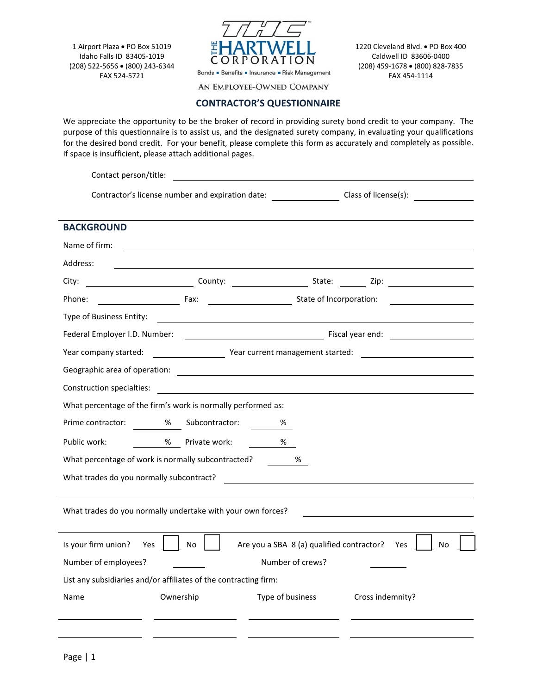1 Airport Plaza . PO Box 51019 Idaho Falls ID 83405‐1019 (208) 522‐5656 (800) 243‐6344 FAX 524‐5721



1220 Cleveland Blvd. . PO Box 400 Caldwell ID 83606‐0400 (208) 459‐1678 (800) 828‐7835 FAX 454‐1114

AN EMPLOYEE-OWNED COMPANY

## **CONTRACTOR'S QUESTIONNAIRE**

We appreciate the opportunity to be the broker of record in providing surety bond credit to your company. The purpose of this questionnaire is to assist us, and the designated surety company, in evaluating your qualifications for the desired bond credit. For your benefit, please complete this form as accurately and completely as possible. If space is insufficient, please attach additional pages.

| Contact person/title:                                       |                                                                                                                                                                                                                                      |                                           |                      |  |  |
|-------------------------------------------------------------|--------------------------------------------------------------------------------------------------------------------------------------------------------------------------------------------------------------------------------------|-------------------------------------------|----------------------|--|--|
| Contractor's license number and expiration date:            |                                                                                                                                                                                                                                      |                                           | Class of license(s): |  |  |
| <b>BACKGROUND</b>                                           |                                                                                                                                                                                                                                      |                                           |                      |  |  |
| Name of firm:                                               |                                                                                                                                                                                                                                      |                                           |                      |  |  |
| Address:                                                    |                                                                                                                                                                                                                                      |                                           |                      |  |  |
| City:                                                       |                                                                                                                                                                                                                                      |                                           |                      |  |  |
| Phone:                                                      | Example 2014 and State of Incorporation:                                                                                                                                                                                             |                                           |                      |  |  |
| Type of Business Entity:                                    | <u> 1989 - Johann John Stein, fransk politik (d. 1989)</u>                                                                                                                                                                           |                                           |                      |  |  |
|                                                             | Federal Employer I.D. Number: <u>Conservation of the Conservation of the Conservation of the Conservation of the Conservation of the Conservation of the Conservation of the Conservation of the Conservation of the Conservatio</u> |                                           |                      |  |  |
| Year company started:                                       |                                                                                                                                                                                                                                      |                                           |                      |  |  |
|                                                             |                                                                                                                                                                                                                                      |                                           |                      |  |  |
| Construction specialties:                                   | <u> 1980 - Jan Samuel Barbara, margaret e populari e populari e populari e populari e populari e populari e popu</u>                                                                                                                 |                                           |                      |  |  |
|                                                             | What percentage of the firm's work is normally performed as:                                                                                                                                                                         |                                           |                      |  |  |
| Prime contractor:                                           | %<br>Subcontractor:                                                                                                                                                                                                                  | %                                         |                      |  |  |
| Public work:                                                | % Private work:                                                                                                                                                                                                                      | %                                         |                      |  |  |
| What percentage of work is normally subcontracted?<br>%     |                                                                                                                                                                                                                                      |                                           |                      |  |  |
| What trades do you normally subcontract?                    |                                                                                                                                                                                                                                      |                                           |                      |  |  |
|                                                             |                                                                                                                                                                                                                                      |                                           |                      |  |  |
| What trades do you normally undertake with your own forces? |                                                                                                                                                                                                                                      |                                           |                      |  |  |
| Is your firm union?<br>Yes                                  | No                                                                                                                                                                                                                                   | Are you a SBA 8 (a) qualified contractor? | Yes<br>No            |  |  |
| Number of employees?                                        |                                                                                                                                                                                                                                      | Number of crews?                          |                      |  |  |
|                                                             | List any subsidiaries and/or affiliates of the contracting firm:                                                                                                                                                                     |                                           |                      |  |  |
| Name                                                        | Ownership                                                                                                                                                                                                                            | Type of business                          | Cross indemnity?     |  |  |
|                                                             |                                                                                                                                                                                                                                      |                                           |                      |  |  |
|                                                             |                                                                                                                                                                                                                                      |                                           |                      |  |  |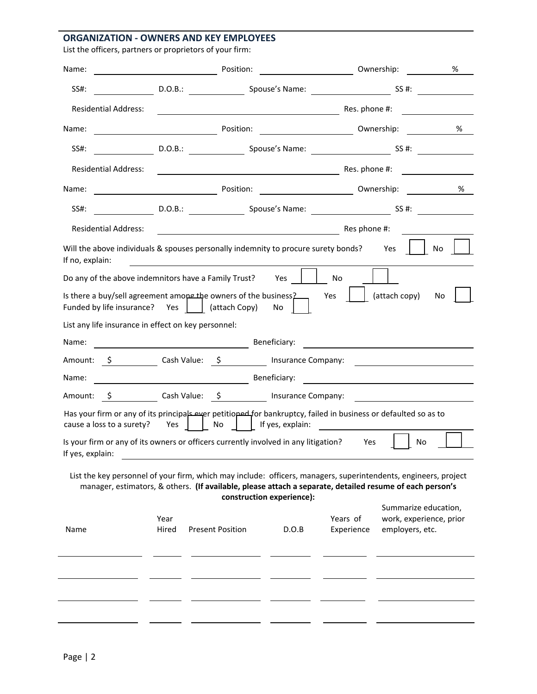## **ORGANIZATION ‐ OWNERS AND KEY EMPLOYEES**

| List the officers, partners or proprietors of your firm: |  |  |
|----------------------------------------------------------|--|--|
|                                                          |  |  |

| Name:                                                                                                                                                                                                                       | $\overline{\phantom{a}}$ and $\overline{\phantom{a}}$ and $\overline{\phantom{a}}$ | Position:               |                                |                                                                                                                                                                                                                                      | Ownership:                              | %                       |
|-----------------------------------------------------------------------------------------------------------------------------------------------------------------------------------------------------------------------------|------------------------------------------------------------------------------------|-------------------------|--------------------------------|--------------------------------------------------------------------------------------------------------------------------------------------------------------------------------------------------------------------------------------|-----------------------------------------|-------------------------|
| SS#:                                                                                                                                                                                                                        |                                                                                    |                         |                                |                                                                                                                                                                                                                                      |                                         |                         |
| <b>Residential Address:</b>                                                                                                                                                                                                 |                                                                                    |                         |                                | <b>Example 20</b> Res. phone #:                                                                                                                                                                                                      |                                         |                         |
| Name:                                                                                                                                                                                                                       |                                                                                    |                         |                                |                                                                                                                                                                                                                                      |                                         | %                       |
| SS#:                                                                                                                                                                                                                        |                                                                                    |                         |                                | D.O.B.: Spouse's Name: Spouse's Name: SS #:                                                                                                                                                                                          |                                         |                         |
| <b>Residential Address:</b>                                                                                                                                                                                                 |                                                                                    |                         |                                | Res. phone #:                                                                                                                                                                                                                        |                                         |                         |
| Name:                                                                                                                                                                                                                       |                                                                                    |                         |                                |                                                                                                                                                                                                                                      |                                         | %                       |
| SS#:                                                                                                                                                                                                                        |                                                                                    |                         |                                | D.O.B.: D.O.B.: Spouse's Name: Spouse Communication SS #:                                                                                                                                                                            |                                         |                         |
| <b>Residential Address:</b>                                                                                                                                                                                                 |                                                                                    |                         |                                | <b>Example 2</b> Res phone #:                                                                                                                                                                                                        |                                         |                         |
| Will the above individuals & spouses personally indemnity to procure surety bonds? Yes<br>If no, explain:                                                                                                                   |                                                                                    |                         |                                |                                                                                                                                                                                                                                      |                                         | No.                     |
| Do any of the above indemnitors have a Family Trust?                                                                                                                                                                        |                                                                                    |                         | Yes                            | No                                                                                                                                                                                                                                   |                                         |                         |
| Is there a buy/sell agreement among the owners of the business?<br>Funded by life insurance? Yes     (attach Copy)                                                                                                          |                                                                                    |                         | No.                            | Yes                                                                                                                                                                                                                                  | (attach copy)                           | No                      |
| List any life insurance in effect on key personnel:                                                                                                                                                                         |                                                                                    |                         |                                |                                                                                                                                                                                                                                      |                                         |                         |
| Name:                                                                                                                                                                                                                       |                                                                                    | Beneficiary:            |                                |                                                                                                                                                                                                                                      |                                         |                         |
|                                                                                                                                                                                                                             |                                                                                    |                         |                                |                                                                                                                                                                                                                                      |                                         |                         |
| Name:                                                                                                                                                                                                                       |                                                                                    |                         |                                | <b>Example 2008</b> Beneficiary: <b>Contract 2008</b> Beneficiary:                                                                                                                                                                   |                                         |                         |
| Amount:                                                                                                                                                                                                                     |                                                                                    |                         |                                |                                                                                                                                                                                                                                      |                                         |                         |
| Has your firm or any of its principals ever petitioped for bankruptcy, failed in business or defaulted so as to<br>cause a loss to a surety?                                                                                | Yes                                                                                | <b>No</b>               | $\vert \vert$ If yes, explain: | <u>and the state of the state of the state of the state of the state of the state of the state of the state of the state of the state of the state of the state of the state of the state of the state of the state of the state</u> |                                         |                         |
| Is your firm or any of its owners or officers currently involved in any litigation?<br>If yes, explain:                                                                                                                     |                                                                                    |                         |                                | Yes                                                                                                                                                                                                                                  |                                         | No                      |
| List the key personnel of your firm, which may include: officers, managers, superintendents, engineers, project<br>manager, estimators, & others. (If available, please attach a separate, detailed resume of each person's |                                                                                    |                         | construction experience):      |                                                                                                                                                                                                                                      |                                         |                         |
| Name                                                                                                                                                                                                                        | Year<br>Hired                                                                      | <b>Present Position</b> | D.O.B                          | Years of<br>Experience                                                                                                                                                                                                               | Summarize education,<br>employers, etc. | work, experience, prior |
|                                                                                                                                                                                                                             |                                                                                    |                         |                                |                                                                                                                                                                                                                                      |                                         |                         |
|                                                                                                                                                                                                                             |                                                                                    |                         |                                |                                                                                                                                                                                                                                      |                                         |                         |
|                                                                                                                                                                                                                             |                                                                                    |                         |                                |                                                                                                                                                                                                                                      |                                         |                         |
|                                                                                                                                                                                                                             |                                                                                    |                         |                                |                                                                                                                                                                                                                                      |                                         |                         |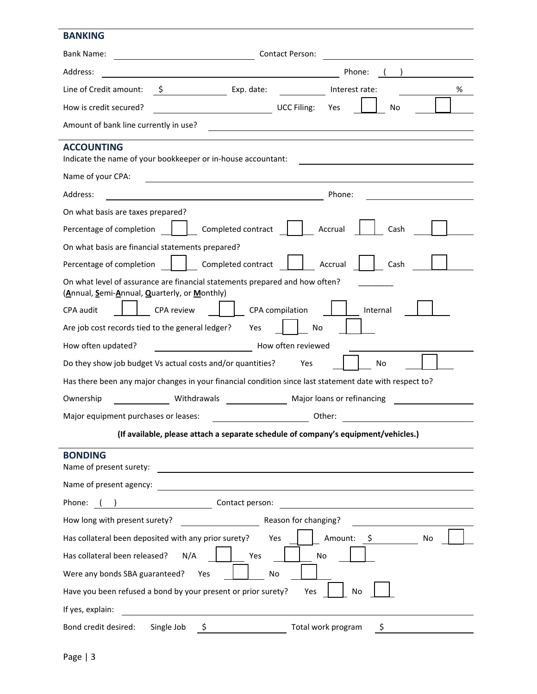## **BANKING**

| <b>Bank Name:</b>                                                                                                                                                                                                                                                                                                                                                                                                                                                     | <b>Contact Person:</b>                 |  |  |  |
|-----------------------------------------------------------------------------------------------------------------------------------------------------------------------------------------------------------------------------------------------------------------------------------------------------------------------------------------------------------------------------------------------------------------------------------------------------------------------|----------------------------------------|--|--|--|
| Address:                                                                                                                                                                                                                                                                                                                                                                                                                                                              | Phone:                                 |  |  |  |
| $\frac{1}{\sqrt{1-\frac{1}{2}}\sqrt{1-\frac{1}{2}}\sqrt{1-\frac{1}{2}}\sqrt{1-\frac{1}{2}}\sqrt{1-\frac{1}{2}}\sqrt{1-\frac{1}{2}}\sqrt{1-\frac{1}{2}}\sqrt{1-\frac{1}{2}}\sqrt{1-\frac{1}{2}}\sqrt{1-\frac{1}{2}}\sqrt{1-\frac{1}{2}}\sqrt{1-\frac{1}{2}}\sqrt{1-\frac{1}{2}}\sqrt{1-\frac{1}{2}}\sqrt{1-\frac{1}{2}}\sqrt{1-\frac{1}{2}}\sqrt{1-\frac{1}{2}}\sqrt{1-\frac{1}{2}}\sqrt{1-\frac{1}{2}}\sqrt{1-\frac$<br>Line of Credit amount:<br>$\ddot{\mathsf{s}}$ | %<br>Interest rate:                    |  |  |  |
| $\overline{\phantom{a}}$<br>How is credit secured?                                                                                                                                                                                                                                                                                                                                                                                                                    | <b>UCC Filing:</b><br>No<br>Yes        |  |  |  |
| Amount of bank line currently in use?                                                                                                                                                                                                                                                                                                                                                                                                                                 |                                        |  |  |  |
| <b>ACCOUNTING</b><br>Indicate the name of your bookkeeper or in-house accountant:                                                                                                                                                                                                                                                                                                                                                                                     |                                        |  |  |  |
| Name of your CPA:<br><u> 1980 - Johann Barn, mars ann an t-Amhain Aonaich an t-Aonaich an t-Aonaich ann an t-Aonaich ann an t-Aonaich</u>                                                                                                                                                                                                                                                                                                                             |                                        |  |  |  |
| Address:                                                                                                                                                                                                                                                                                                                                                                                                                                                              | Phone:                                 |  |  |  |
| On what basis are taxes prepared?                                                                                                                                                                                                                                                                                                                                                                                                                                     |                                        |  |  |  |
| Percentage of completion<br>Completed contract                                                                                                                                                                                                                                                                                                                                                                                                                        | Accrual<br>Cash                        |  |  |  |
| On what basis are financial statements prepared?                                                                                                                                                                                                                                                                                                                                                                                                                      |                                        |  |  |  |
| Completed contract<br>Percentage of completion                                                                                                                                                                                                                                                                                                                                                                                                                        | Accrual<br>Cash                        |  |  |  |
| On what level of assurance are financial statements prepared and how often?<br>(Annual, Semi-Annual, Quarterly, or Monthly)                                                                                                                                                                                                                                                                                                                                           |                                        |  |  |  |
| CPA review<br>CPA audit                                                                                                                                                                                                                                                                                                                                                                                                                                               | CPA compilation<br>Internal            |  |  |  |
| Are job cost records tied to the general ledger?<br>Yes                                                                                                                                                                                                                                                                                                                                                                                                               | No                                     |  |  |  |
| How often updated?<br>How often reviewed                                                                                                                                                                                                                                                                                                                                                                                                                              |                                        |  |  |  |
| Do they show job budget Vs actual costs and/or quantities?<br>Yes<br>No                                                                                                                                                                                                                                                                                                                                                                                               |                                        |  |  |  |
| Has there been any major changes in your financial condition since last statement date with respect to?                                                                                                                                                                                                                                                                                                                                                               |                                        |  |  |  |
| Ownership                                                                                                                                                                                                                                                                                                                                                                                                                                                             | Withdrawals Major loans or refinancing |  |  |  |
| Major equipment purchases or leases:                                                                                                                                                                                                                                                                                                                                                                                                                                  | Other:                                 |  |  |  |
| (If available, please attach a separate schedule of company's equipment/vehicles.)                                                                                                                                                                                                                                                                                                                                                                                    |                                        |  |  |  |
| <b>BONDING</b><br>Name of present surety:                                                                                                                                                                                                                                                                                                                                                                                                                             |                                        |  |  |  |
| Name of present agency:                                                                                                                                                                                                                                                                                                                                                                                                                                               |                                        |  |  |  |
| $\overline{\phantom{a}}$ . The contract of $\overline{\phantom{a}}$<br>Contact person:<br>Phone:                                                                                                                                                                                                                                                                                                                                                                      |                                        |  |  |  |
| Reason for changing?<br>How long with present surety?                                                                                                                                                                                                                                                                                                                                                                                                                 |                                        |  |  |  |
| Has collateral been deposited with any prior surety?<br>Amount:<br>Yes<br>\$<br>No                                                                                                                                                                                                                                                                                                                                                                                    |                                        |  |  |  |
| Has collateral been released?<br>N/A<br>Yes<br>No                                                                                                                                                                                                                                                                                                                                                                                                                     |                                        |  |  |  |
| Were any bonds SBA guaranteed?<br>Yes                                                                                                                                                                                                                                                                                                                                                                                                                                 | No                                     |  |  |  |
| Have you been refused a bond by your present or prior surety?<br>Yes<br>No                                                                                                                                                                                                                                                                                                                                                                                            |                                        |  |  |  |
| If yes, explain:                                                                                                                                                                                                                                                                                                                                                                                                                                                      |                                        |  |  |  |
| Bond credit desired:<br>Single Job<br>S                                                                                                                                                                                                                                                                                                                                                                                                                               | Total work program<br>\$               |  |  |  |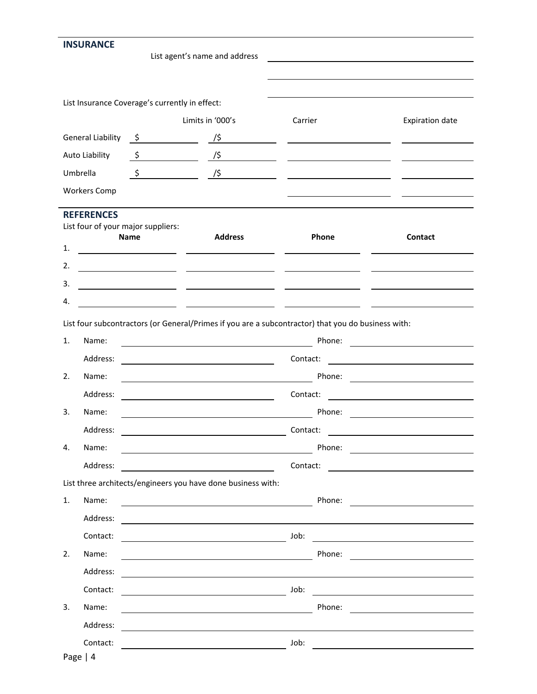| <b>INSURANCE</b>                                        |               |                                                                                                                                                                                                                                                                                                                                                                                       |                                                                                                                                                                                                                                                                                               |                                                                                                                       |
|---------------------------------------------------------|---------------|---------------------------------------------------------------------------------------------------------------------------------------------------------------------------------------------------------------------------------------------------------------------------------------------------------------------------------------------------------------------------------------|-----------------------------------------------------------------------------------------------------------------------------------------------------------------------------------------------------------------------------------------------------------------------------------------------|-----------------------------------------------------------------------------------------------------------------------|
|                                                         |               | List agent's name and address                                                                                                                                                                                                                                                                                                                                                         |                                                                                                                                                                                                                                                                                               |                                                                                                                       |
|                                                         |               |                                                                                                                                                                                                                                                                                                                                                                                       |                                                                                                                                                                                                                                                                                               |                                                                                                                       |
| List Insurance Coverage's currently in effect:          |               |                                                                                                                                                                                                                                                                                                                                                                                       |                                                                                                                                                                                                                                                                                               |                                                                                                                       |
|                                                         |               | Limits in '000's                                                                                                                                                                                                                                                                                                                                                                      | Carrier                                                                                                                                                                                                                                                                                       | <b>Expiration date</b>                                                                                                |
| <b>General Liability</b>                                |               | $\zeta$ /\$                                                                                                                                                                                                                                                                                                                                                                           |                                                                                                                                                                                                                                                                                               |                                                                                                                       |
| Auto Liability                                          |               | $\frac{\zeta}{\zeta}$ $\frac{\zeta}{\zeta}$ $\frac{\zeta}{\zeta}$ $\frac{\zeta}{\zeta}$ $\frac{\zeta}{\zeta}$ $\frac{\zeta}{\zeta}$ $\frac{\zeta}{\zeta}$ $\frac{\zeta}{\zeta}$ $\frac{\zeta}{\zeta}$ $\frac{\zeta}{\zeta}$ $\frac{\zeta}{\zeta}$ $\frac{\zeta}{\zeta}$ $\frac{\zeta}{\zeta}$ $\frac{\zeta}{\zeta}$ $\frac{\zeta}{\zeta}$ $\frac{\zeta}{\zeta}$ $\frac{\zeta}{\zeta}$ |                                                                                                                                                                                                                                                                                               |                                                                                                                       |
| Umbrella                                                | $\frac{1}{2}$ |                                                                                                                                                                                                                                                                                                                                                                                       | $\frac{1}{5}$ and $\frac{1}{5}$ and $\frac{1}{5}$ and $\frac{1}{5}$ and $\frac{1}{5}$ and $\frac{1}{5}$ and $\frac{1}{5}$ and $\frac{1}{5}$ and $\frac{1}{5}$ and $\frac{1}{5}$ and $\frac{1}{5}$ and $\frac{1}{5}$ and $\frac{1}{5}$ and $\frac{1}{5}$ and $\frac{1}{5}$ and $\frac{1}{5}$ a |                                                                                                                       |
| <b>Workers Comp</b>                                     |               |                                                                                                                                                                                                                                                                                                                                                                                       |                                                                                                                                                                                                                                                                                               |                                                                                                                       |
|                                                         |               |                                                                                                                                                                                                                                                                                                                                                                                       |                                                                                                                                                                                                                                                                                               |                                                                                                                       |
| <b>REFERENCES</b><br>List four of your major suppliers: |               |                                                                                                                                                                                                                                                                                                                                                                                       |                                                                                                                                                                                                                                                                                               |                                                                                                                       |
| 1.                                                      | <b>Name</b>   | <b>Address</b>                                                                                                                                                                                                                                                                                                                                                                        | Phone                                                                                                                                                                                                                                                                                         | Contact                                                                                                               |
| 2.                                                      |               | <u> 1989 - Johann John Stone, mars et al. (</u>                                                                                                                                                                                                                                                                                                                                       |                                                                                                                                                                                                                                                                                               |                                                                                                                       |
| 3.                                                      |               | <u> 1989 - Johann John Stone, mars et al. (1989)</u>                                                                                                                                                                                                                                                                                                                                  |                                                                                                                                                                                                                                                                                               |                                                                                                                       |
| 4.                                                      |               |                                                                                                                                                                                                                                                                                                                                                                                       |                                                                                                                                                                                                                                                                                               |                                                                                                                       |
|                                                         |               |                                                                                                                                                                                                                                                                                                                                                                                       |                                                                                                                                                                                                                                                                                               |                                                                                                                       |
|                                                         |               | List four subcontractors (or General/Primes if you are a subcontractor) that you do business with:                                                                                                                                                                                                                                                                                    |                                                                                                                                                                                                                                                                                               |                                                                                                                       |
| 1.<br>Name:                                             |               | <u> 1989 - Johann Barnett, fransk politiker (</u>                                                                                                                                                                                                                                                                                                                                     | Phone:                                                                                                                                                                                                                                                                                        | <u> 1970 - Andrea Britain, politik eta politik eta politik eta politik eta politik eta politik eta politik eta p</u>  |
| Address:                                                |               | <u> 1989 - Johann Stoff, deutscher Stoffen und der Stoffen und der Stoffen und der Stoffen und der Stoffen und der</u>                                                                                                                                                                                                                                                                |                                                                                                                                                                                                                                                                                               | Contact:                                                                                                              |
| 2.<br>Name:                                             |               |                                                                                                                                                                                                                                                                                                                                                                                       |                                                                                                                                                                                                                                                                                               | Phone: <u>__________________</u>                                                                                      |
| Address:                                                |               | <u> 1980 - Johann Barn, mars eta bainar eta bat erroman erroman erroman erroman erroman erroman erroman erroman </u>                                                                                                                                                                                                                                                                  | Contact:                                                                                                                                                                                                                                                                                      | <u> 1989 - Johann Harry Harry Harry Harry Harry Harry Harry Harry Harry Harry Harry Harry Harry Harry Harry Harry</u> |
| 3.<br>Name:                                             |               |                                                                                                                                                                                                                                                                                                                                                                                       | Phone:                                                                                                                                                                                                                                                                                        | <u>and the state of the state of the state of the state of the state of the state of the state of the state of th</u> |
| Address:                                                |               |                                                                                                                                                                                                                                                                                                                                                                                       | Contact:                                                                                                                                                                                                                                                                                      |                                                                                                                       |
| 4.<br>Name:                                             |               |                                                                                                                                                                                                                                                                                                                                                                                       |                                                                                                                                                                                                                                                                                               |                                                                                                                       |
| Address:                                                |               | <u> 1989 - Johann Barn, mars eta biztanleria (</u>                                                                                                                                                                                                                                                                                                                                    | Contact:                                                                                                                                                                                                                                                                                      |                                                                                                                       |
| 1.<br>Name:                                             |               | List three architects/engineers you have done business with:                                                                                                                                                                                                                                                                                                                          |                                                                                                                                                                                                                                                                                               |                                                                                                                       |
| Address:                                                |               | <u> 2008 - Johann Barn, mars eta bainar eta baina eta baina eta baina eta baina eta baina eta baina eta baina e</u>                                                                                                                                                                                                                                                                   |                                                                                                                                                                                                                                                                                               | Phone: <u>___________________</u>                                                                                     |
| Contact:                                                |               |                                                                                                                                                                                                                                                                                                                                                                                       | Job:                                                                                                                                                                                                                                                                                          |                                                                                                                       |
| 2.<br>Name:                                             |               |                                                                                                                                                                                                                                                                                                                                                                                       | Phone:                                                                                                                                                                                                                                                                                        | <u> 1980 - Jan Barbara Barat, politik eta politik eta politik eta politik eta politik eta politik eta politik e</u>   |
| Address:                                                |               | <u> 1989 - Johann Barn, mars an t-Amerikaansk kommunister (</u>                                                                                                                                                                                                                                                                                                                       |                                                                                                                                                                                                                                                                                               |                                                                                                                       |
| Contact:                                                |               | and the control of the control of the control of the control of the control of the control of the control of the                                                                                                                                                                                                                                                                      | Job:                                                                                                                                                                                                                                                                                          |                                                                                                                       |
| 3.<br>Name:                                             |               | <u> 1989 - Johann Barn, mars ann an t-Amhair an t-Amhair an t-Amhair an t-Amhair an t-Amhair an t-Amhair an t-Amh</u>                                                                                                                                                                                                                                                                 | Phone:                                                                                                                                                                                                                                                                                        | <u> 1980 - Andrea Andrew Maria (h. 1980).</u>                                                                         |
| Address:                                                |               |                                                                                                                                                                                                                                                                                                                                                                                       |                                                                                                                                                                                                                                                                                               | <u> 1990 - John Stein, Amerikaansk politiker (</u>                                                                    |
| Contact:                                                |               |                                                                                                                                                                                                                                                                                                                                                                                       | Job:                                                                                                                                                                                                                                                                                          |                                                                                                                       |
| Page $ 4$                                               |               |                                                                                                                                                                                                                                                                                                                                                                                       |                                                                                                                                                                                                                                                                                               |                                                                                                                       |